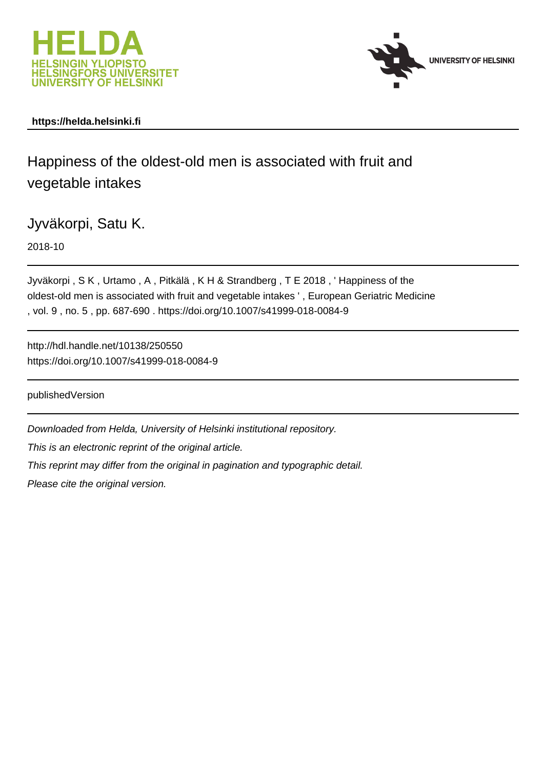



## **https://helda.helsinki.fi**

Happiness of the oldest-old men is associated with fruit and vegetable intakes

Jyväkorpi, Satu K.

2018-10

Jyväkorpi , S K , Urtamo , A , Pitkälä , K H & Strandberg , T E 2018 , ' Happiness of the oldest-old men is associated with fruit and vegetable intakes ' , European Geriatric Medicine , vol. 9 , no. 5 , pp. 687-690 . https://doi.org/10.1007/s41999-018-0084-9

http://hdl.handle.net/10138/250550 https://doi.org/10.1007/s41999-018-0084-9

publishedVersion

Downloaded from Helda, University of Helsinki institutional repository. This is an electronic reprint of the original article. This reprint may differ from the original in pagination and typographic detail. Please cite the original version.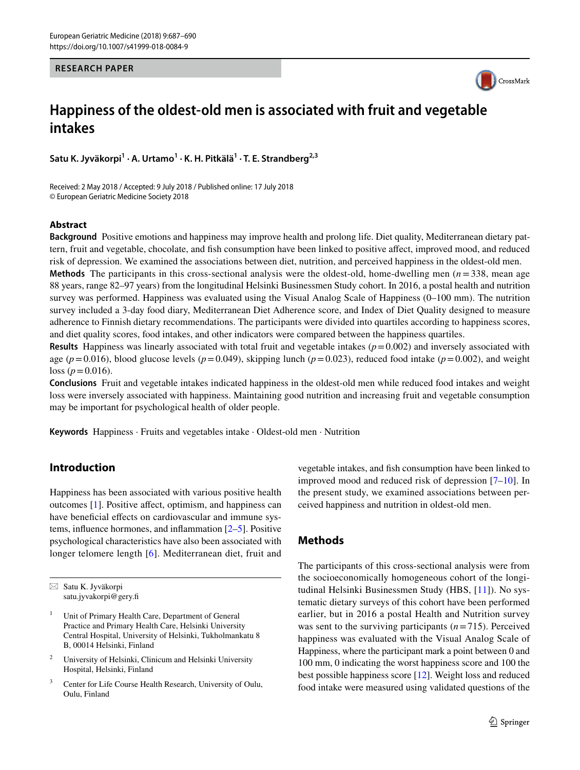#### **RESEARCH PAPER**



# **Happiness of the oldest‑old men is associated with fruit and vegetable intakes**

**Satu K. Jyväkorpi1 · A. Urtamo1 · K. H. Pitkälä<sup>1</sup> · T. E. Strandberg2,3**

Received: 2 May 2018 / Accepted: 9 July 2018 / Published online: 17 July 2018 © European Geriatric Medicine Society 2018

#### **Abstract**

**Background** Positive emotions and happiness may improve health and prolong life. Diet quality, Mediterranean dietary pattern, fruit and vegetable, chocolate, and fsh consumption have been linked to positive afect, improved mood, and reduced risk of depression. We examined the associations between diet, nutrition, and perceived happiness in the oldest-old men.

**Methods** The participants in this cross-sectional analysis were the oldest-old, home-dwelling men (*n* =338, mean age 88 years, range 82–97 years) from the longitudinal Helsinki Businessmen Study cohort. In 2016, a postal health and nutrition survey was performed. Happiness was evaluated using the Visual Analog Scale of Happiness (0–100 mm). The nutrition survey included a 3-day food diary, Mediterranean Diet Adherence score, and Index of Diet Quality designed to measure adherence to Finnish dietary recommendations. The participants were divided into quartiles according to happiness scores, and diet quality scores, food intakes, and other indicators were compared between the happiness quartiles.

**Results** Happiness was linearly associated with total fruit and vegetable intakes  $(p=0.002)$  and inversely associated with age ( $p=0.016$ ), blood glucose levels ( $p=0.049$ ), skipping lunch ( $p=0.023$ ), reduced food intake ( $p=0.002$ ), and weight loss ( $p = 0.016$ ).

**Conclusions** Fruit and vegetable intakes indicated happiness in the oldest-old men while reduced food intakes and weight loss were inversely associated with happiness. Maintaining good nutrition and increasing fruit and vegetable consumption may be important for psychological health of older people.

**Keywords** Happiness · Fruits and vegetables intake · Oldest-old men · Nutrition

## **Introduction**

Happiness has been associated with various positive health outcomes [1]. Positive afect, optimism, and happiness can have beneficial effects on cardiovascular and immune systems, infuence hormones, and infammation [2–5]. Positive psychological characteristics have also been associated with longer telomere length [6]. Mediterranean diet, fruit and vegetable intakes, and fsh consumption have been linked to improved mood and reduced risk of depression [7–10]. In the present study, we examined associations between perceived happiness and nutrition in oldest-old men.

## **Methods**

The participants of this cross-sectional analysis were from the socioeconomically homogeneous cohort of the longitudinal Helsinki Businessmen Study (HBS, [11]). No systematic dietary surveys of this cohort have been performed earlier, but in 2016 a postal Health and Nutrition survey was sent to the surviving participants  $(n=715)$ . Perceived happiness was evaluated with the Visual Analog Scale of Happiness, where the participant mark a point between 0 and 100 mm, 0 indicating the worst happiness score and 100 the best possible happiness score [12]. Weight loss and reduced food intake were measured using validated questions of the

 $\boxtimes$  Satu K. Jyväkorpi satu.jyvakorpi@gery.f

Unit of Primary Health Care, Department of General Practice and Primary Health Care, Helsinki University Central Hospital, University of Helsinki, Tukholmankatu 8 B, 00014 Helsinki, Finland

<sup>2</sup> University of Helsinki, Clinicum and Helsinki University Hospital, Helsinki, Finland

<sup>3</sup> Center for Life Course Health Research, University of Oulu, Oulu, Finland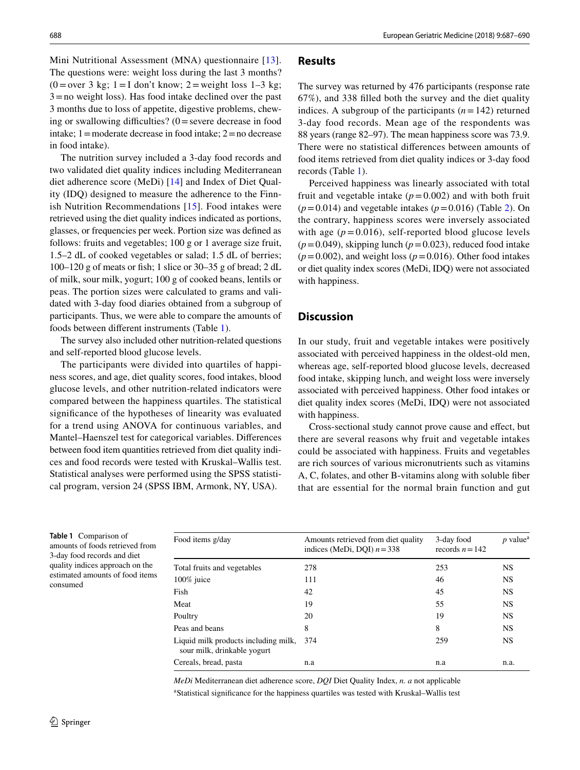Mini Nutritional Assessment (MNA) questionnaire [13]. The questions were: weight loss during the last 3 months?  $(0=over 3$  kg;  $1=I$  don't know;  $2=$  weight loss  $1-3$  kg;  $3 =$ no weight loss). Has food intake declined over the past 3 months due to loss of appetite, digestive problems, chewing or swallowing difficulties?  $(0 = \text{severe} \cdot \text{decrease} \cdot \text{in} \cdot \text{food})$ intake;  $1 =$ moderate decrease in food intake;  $2 =$ no decrease in food intake).

The nutrition survey included a 3-day food records and two validated diet quality indices including Mediterranean diet adherence score (MeDi) [14] and Index of Diet Quality (IDQ) designed to measure the adherence to the Finnish Nutrition Recommendations [15]. Food intakes were retrieved using the diet quality indices indicated as portions, glasses, or frequencies per week. Portion size was defned as follows: fruits and vegetables; 100 g or 1 average size fruit, 1.5–2 dL of cooked vegetables or salad; 1.5 dL of berries; 100–120 g of meats or fsh; 1 slice or 30–35 g of bread; 2 dL of milk, sour milk, yogurt; 100 g of cooked beans, lentils or peas. The portion sizes were calculated to grams and validated with 3-day food diaries obtained from a subgroup of participants. Thus, we were able to compare the amounts of foods between diferent instruments (Table 1).

The survey also included other nutrition-related questions and self-reported blood glucose levels.

The participants were divided into quartiles of happiness scores, and age, diet quality scores, food intakes, blood glucose levels, and other nutrition-related indicators were compared between the happiness quartiles. The statistical signifcance of the hypotheses of linearity was evaluated for a trend using ANOVA for continuous variables, and Mantel–Haenszel test for categorical variables. Diferences between food item quantities retrieved from diet quality indices and food records were tested with Kruskal–Wallis test. Statistical analyses were performed using the SPSS statistical program, version 24 (SPSS IBM, Armonk, NY, USA).

## **Results**

The survey was returned by 476 participants (response rate 67%), and 338 flled both the survey and the diet quality indices. A subgroup of the participants  $(n=142)$  returned 3-day food records. Mean age of the respondents was 88 years (range 82–97). The mean happiness score was 73.9. There were no statistical diferences between amounts of food items retrieved from diet quality indices or 3-day food records (Table 1).

Perceived happiness was linearly associated with total fruit and vegetable intake  $(p=0.002)$  and with both fruit  $(p=0.014)$  and vegetable intakes  $(p=0.016)$  (Table 2). On the contrary, happiness scores were inversely associated with age  $(p=0.016)$ , self-reported blood glucose levels  $(p=0.049)$ , skipping lunch  $(p=0.023)$ , reduced food intake  $(p=0.002)$ , and weight loss  $(p=0.016)$ . Other food intakes or diet quality index scores (MeDi, IDQ) were not associated with happiness.

## **Discussion**

In our study, fruit and vegetable intakes were positively associated with perceived happiness in the oldest-old men, whereas age, self-reported blood glucose levels, decreased food intake, skipping lunch, and weight loss were inversely associated with perceived happiness. Other food intakes or diet quality index scores (MeDi, IDQ) were not associated with happiness.

Cross-sectional study cannot prove cause and efect, but there are several reasons why fruit and vegetable intakes could be associated with happiness. Fruits and vegetables are rich sources of various micronutrients such as vitamins A, C, folates, and other B-vitamins along with soluble fber that are essential for the normal brain function and gut

**Table 1** Comparison of amounts of foods retrieved from 3-day food records and diet quality indices approach on the estimated amounts of food items consumed

| Food items g/day                                                    | Amounts retrieved from diet quality<br>indices (MeDi, DQI) $n = 338$ | 3-day food<br>records $n = 142$ | $p$ value <sup><math>a</math></sup> |
|---------------------------------------------------------------------|----------------------------------------------------------------------|---------------------------------|-------------------------------------|
| Total fruits and vegetables                                         | 278                                                                  | 253                             | <b>NS</b>                           |
| $100\%$ juice                                                       | 111                                                                  | 46                              | <b>NS</b>                           |
| Fish                                                                | 42                                                                   | 45                              | <b>NS</b>                           |
| Meat                                                                | 19                                                                   | 55                              | <b>NS</b>                           |
| Poultry                                                             | 20                                                                   | 19                              | <b>NS</b>                           |
| Peas and beans                                                      | 8                                                                    | 8                               | <b>NS</b>                           |
| Liquid milk products including milk,<br>sour milk, drinkable yogurt | 374                                                                  | 259                             | <b>NS</b>                           |
| Cereals, bread, pasta                                               | n.a                                                                  | n.a                             | n.a.                                |

*MeDi* Mediterranean diet adherence score, *DQI* Diet Quality Index, *n. a* not applicable a Statistical signifcance for the happiness quartiles was tested with Kruskal–Wallis test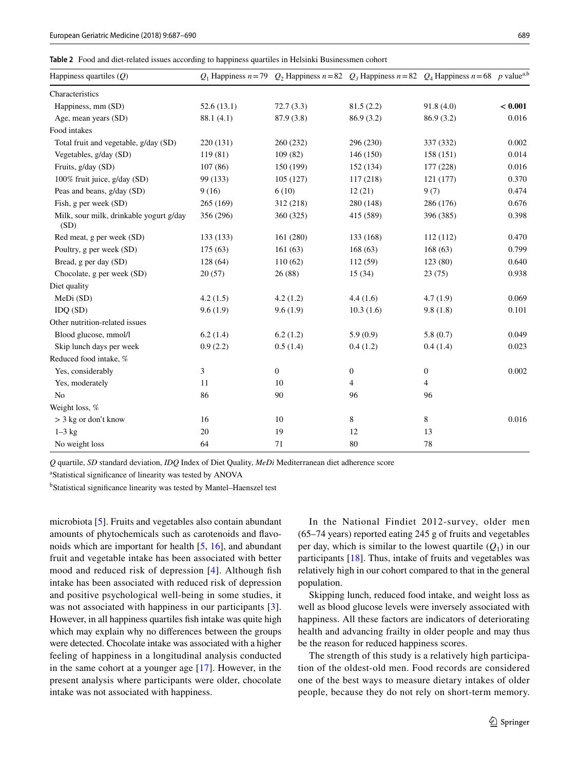**Table 2** Food and diet-related issues according to happiness quartiles in Helsinki Businessmen cohort

| Happiness quartiles $(Q)$                       |            | $Q_1$ Happiness $n = 79$ $Q_2$ Happiness $n = 82$ $Q_3$ Happiness $n = 82$ $Q_4$ Happiness $n = 68$ p value <sup>a,b</sup> |                  |                |         |
|-------------------------------------------------|------------|----------------------------------------------------------------------------------------------------------------------------|------------------|----------------|---------|
| Characteristics                                 |            |                                                                                                                            |                  |                |         |
| Happiness, mm (SD)                              | 52.6(13.1) | 72.7(3.3)                                                                                                                  | 81.5(2.2)        | 91.8(4.0)      | < 0.001 |
| Age, mean years (SD)                            | 88.1 (4.1) | 87.9 (3.8)                                                                                                                 | 86.9(3.2)        | 86.9(3.2)      | 0.016   |
| Food intakes                                    |            |                                                                                                                            |                  |                |         |
| Total fruit and vegetable, g/day (SD)           | 220 (131)  | 260 (232)                                                                                                                  | 296 (230)        | 337 (332)      | 0.002   |
| Vegetables, g/day (SD)                          | 119 (81)   | 109(82)                                                                                                                    | 146 (150)        | 158(151)       | 0.014   |
| Fruits, g/day (SD)                              | 107(86)    | 150 (199)                                                                                                                  | 152 (134)        | 177 (228)      | 0.016   |
| 100% fruit juice, g/day (SD)                    | 99 (133)   | 105(127)                                                                                                                   | 117(218)         | 121(177)       | 0.370   |
| Peas and beans, g/day (SD)                      | 9(16)      | 6(10)                                                                                                                      | 12(21)           | 9(7)           | 0.474   |
| Fish, g per week (SD)                           | 265 (169)  | 312 (218)                                                                                                                  | 280 (148)        | 286 (176)      | 0.676   |
| Milk, sour milk, drinkable yogurt g/day<br>(SD) | 356 (296)  | 360 (325)                                                                                                                  | 415 (589)        | 396 (385)      | 0.398   |
| Red meat, g per week (SD)                       | 133 (133)  | 161 (280)                                                                                                                  | 133 (168)        | 112(112)       | 0.470   |
| Poultry, g per week (SD)                        | 175(63)    | 161(63)                                                                                                                    | 168(63)          | 168(63)        | 0.799   |
| Bread, g per day (SD)                           | 128(64)    | 110(62)                                                                                                                    | 112(59)          | 123 (80)       | 0.640   |
| Chocolate, g per week (SD)                      | 20(57)     | 26(88)                                                                                                                     | 15(34)           | 23(75)         | 0.938   |
| Diet quality                                    |            |                                                                                                                            |                  |                |         |
| MeDi(SD)                                        | 4.2(1.5)   | 4.2(1.2)                                                                                                                   | 4.4(1.6)         | 4.7(1.9)       | 0.069   |
| IDQ(SD)                                         | 9.6(1.9)   | 9.6(1.9)                                                                                                                   | 10.3(1.6)        | 9.8(1.8)       | 0.101   |
| Other nutrition-related issues                  |            |                                                                                                                            |                  |                |         |
| Blood glucose, mmol/l                           | 6.2(1.4)   | 6.2(1.2)                                                                                                                   | 5.9(0.9)         | 5.8(0.7)       | 0.049   |
| Skip lunch days per week                        | 0.9(2.2)   | 0.5(1.4)                                                                                                                   | 0.4(1.2)         | 0.4(1.4)       | 0.023   |
| Reduced food intake, %                          |            |                                                                                                                            |                  |                |         |
| Yes, considerably                               | 3          | $\boldsymbol{0}$                                                                                                           | $\boldsymbol{0}$ | $\mathbf{0}$   | 0.002   |
| Yes, moderately                                 | 11         | 10                                                                                                                         | 4                | $\overline{4}$ |         |
| No                                              | 86         | 90                                                                                                                         | 96               | 96             |         |
| Weight loss, %                                  |            |                                                                                                                            |                  |                |         |
| $>$ 3 kg or don't know                          | 16         | 10                                                                                                                         | 8                | 8              | 0.016   |
| $1-3$ kg                                        | 20         | 19                                                                                                                         | 12               | 13             |         |
| No weight loss                                  | 64         | 71                                                                                                                         | 80               | 78             |         |

*Q* quartile, *SD* standard deviation, *IDQ* Index of Diet Quality, *MeDi* Mediterranean diet adherence score

a Statistical signifcance of linearity was tested by ANOVA

<sup>b</sup>Statistical significance linearity was tested by Mantel-Haenszel test

microbiota [5]. Fruits and vegetables also contain abundant amounts of phytochemicals such as carotenoids and favonoids which are important for health [5, 16], and abundant fruit and vegetable intake has been associated with better mood and reduced risk of depression [4]. Although fish intake has been associated with reduced risk of depression and positive psychological well-being in some studies, it was not associated with happiness in our participants [3]. However, in all happiness quartiles fsh intake was quite high which may explain why no diferences between the groups were detected. Chocolate intake was associated with a higher feeling of happiness in a longitudinal analysis conducted in the same cohort at a younger age [17]. However, in the present analysis where participants were older, chocolate intake was not associated with happiness.

In the National Findiet 2012-survey, older men (65–74 years) reported eating 245 g of fruits and vegetables per day, which is similar to the lowest quartile  $(Q_1)$  in our participants [18]. Thus, intake of fruits and vegetables was relatively high in our cohort compared to that in the general population.

Skipping lunch, reduced food intake, and weight loss as well as blood glucose levels were inversely associated with happiness. All these factors are indicators of deteriorating health and advancing frailty in older people and may thus be the reason for reduced happiness scores.

The strength of this study is a relatively high participation of the oldest-old men. Food records are considered one of the best ways to measure dietary intakes of older people, because they do not rely on short-term memory.